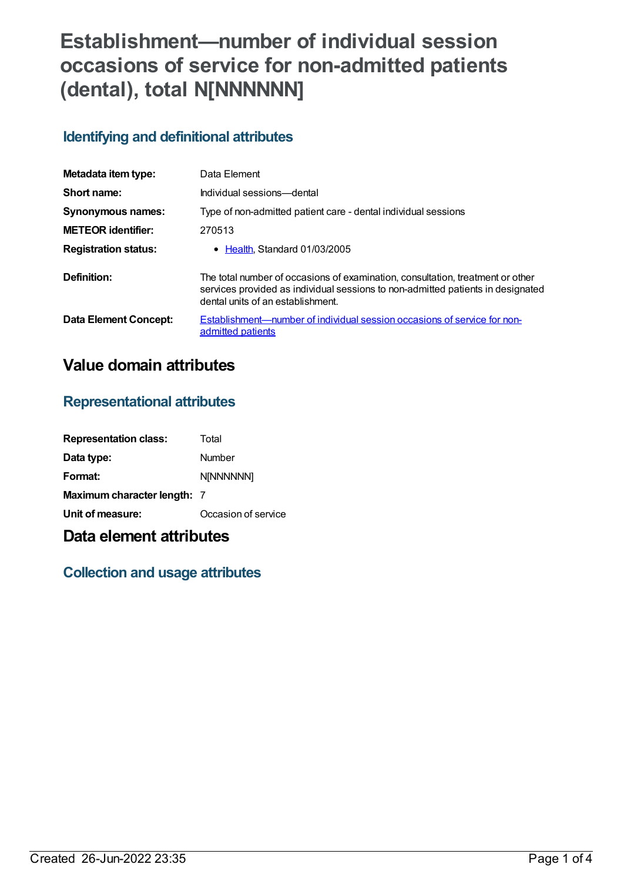# **Establishment—number of individual session occasions of service for non-admitted patients (dental), total N[NNNNNN]**

## **Identifying and definitional attributes**

| Metadata item type:          | Data Element                                                                                                                                                                                           |
|------------------------------|--------------------------------------------------------------------------------------------------------------------------------------------------------------------------------------------------------|
| Short name:                  | Individual sessions—dental                                                                                                                                                                             |
| <b>Synonymous names:</b>     | Type of non-admitted patient care - dental individual sessions                                                                                                                                         |
| <b>METEOR</b> identifier:    | 270513                                                                                                                                                                                                 |
| <b>Registration status:</b>  | • Health, Standard 01/03/2005                                                                                                                                                                          |
| Definition:                  | The total number of occasions of examination, consultation, treatment or other<br>services provided as individual sessions to non-admitted patients in designated<br>dental units of an establishment. |
| <b>Data Element Concept:</b> | Establishment—number of individual session occasions of service for non-<br>admitted patients                                                                                                          |

# **Value domain attributes**

#### **Representational attributes**

| <b>Representation class:</b> | Total               |
|------------------------------|---------------------|
| Data type:                   | Number              |
| Format:                      | <b>N[NNNNNN]</b>    |
| Maximum character length: 7  |                     |
| Unit of measure:             | Occasion of service |

# **Data element attributes**

## **Collection and usage attributes**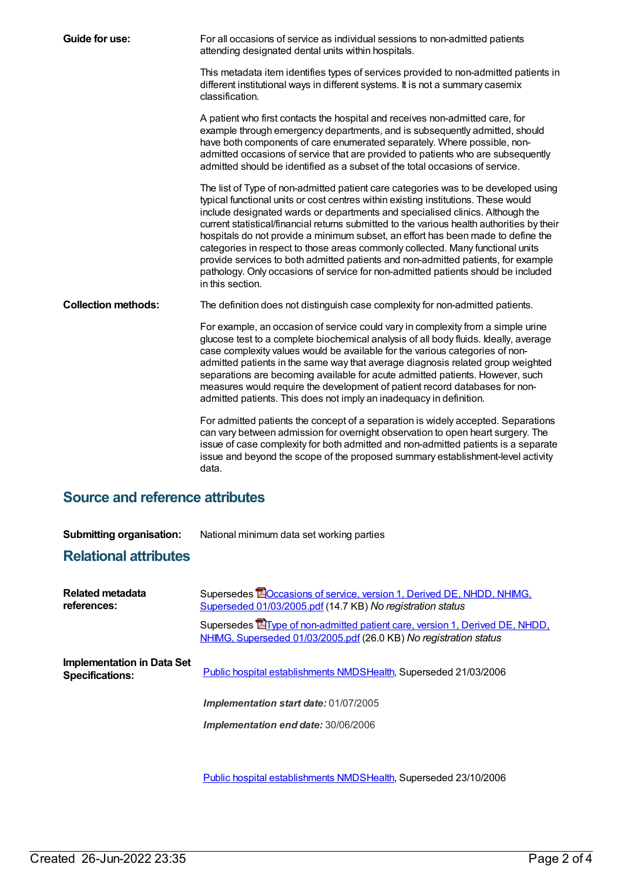| Guide for use:                  | For all occasions of service as individual sessions to non-admitted patients<br>attending designated dental units within hospitals.                                                                                                                                                                                                                                                                                                                                                                                                                                                                                                                                                                                         |  |
|---------------------------------|-----------------------------------------------------------------------------------------------------------------------------------------------------------------------------------------------------------------------------------------------------------------------------------------------------------------------------------------------------------------------------------------------------------------------------------------------------------------------------------------------------------------------------------------------------------------------------------------------------------------------------------------------------------------------------------------------------------------------------|--|
|                                 | This metadata item identifies types of services provided to non-admitted patients in<br>different institutional ways in different systems. It is not a summary casemix<br>classification.                                                                                                                                                                                                                                                                                                                                                                                                                                                                                                                                   |  |
|                                 | A patient who first contacts the hospital and receives non-admitted care, for<br>example through emergency departments, and is subsequently admitted, should<br>have both components of care enumerated separately. Where possible, non-<br>admitted occasions of service that are provided to patients who are subsequently<br>admitted should be identified as a subset of the total occasions of service.                                                                                                                                                                                                                                                                                                                |  |
|                                 | The list of Type of non-admitted patient care categories was to be developed using<br>typical functional units or cost centres within existing institutions. These would<br>include designated wards or departments and specialised clinics. Although the<br>current statistical/financial returns submitted to the various health authorities by their<br>hospitals do not provide a minimum subset, an effort has been made to define the<br>categories in respect to those areas commonly collected. Many functional units<br>provide services to both admitted patients and non-admitted patients, for example<br>pathology. Only occasions of service for non-admitted patients should be included<br>in this section. |  |
| <b>Collection methods:</b>      | The definition does not distinguish case complexity for non-admitted patients.                                                                                                                                                                                                                                                                                                                                                                                                                                                                                                                                                                                                                                              |  |
|                                 | For example, an occasion of service could vary in complexity from a simple urine<br>glucose test to a complete biochemical analysis of all body fluids. Ideally, average<br>case complexity values would be available for the various categories of non-<br>admitted patients in the same way that average diagnosis related group weighted<br>separations are becoming available for acute admitted patients. However, such<br>measures would require the development of patient record databases for non-<br>admitted patients. This does not imply an inadequacy in definition.                                                                                                                                          |  |
|                                 | For admitted patients the concept of a separation is widely accepted. Separations<br>can vary between admission for overnight observation to open heart surgery. The<br>issue of case complexity for both admitted and non-admitted patients is a separate<br>issue and beyond the scope of the proposed summary establishment-level activity<br>data.                                                                                                                                                                                                                                                                                                                                                                      |  |
| Source and reference attributes |                                                                                                                                                                                                                                                                                                                                                                                                                                                                                                                                                                                                                                                                                                                             |  |

#### **Source and reference attributes**

| <b>Submitting organisation:</b>                             | National minimum data set working parties                                                                                                                |
|-------------------------------------------------------------|----------------------------------------------------------------------------------------------------------------------------------------------------------|
| <b>Relational attributes</b>                                |                                                                                                                                                          |
| Related metadata<br>references:                             | Supersedes <b>EO</b> ccasions of service, version 1, Derived DE, NHDD, NHIMG,<br>Superseded 01/03/2005.pdf (14.7 KB) No registration status              |
|                                                             | Supersedes <b>E</b> Type of non-admitted patient care, version 1, Derived DE, NHDD,<br>NHIMG, Superseded 01/03/2005.pdf (26.0 KB) No registration status |
| <b>Implementation in Data Set</b><br><b>Specifications:</b> | Public hospital establishments NMDSHealth, Superseded 21/03/2006                                                                                         |
|                                                             | Implementation start date: 01/07/2005                                                                                                                    |
|                                                             | Implementation end date: 30/06/2006                                                                                                                      |

Public hospital [establishments](https://meteor.aihw.gov.au/content/334285) NMDS[Health](https://meteor.aihw.gov.au/RegistrationAuthority/12), Superseded 23/10/2006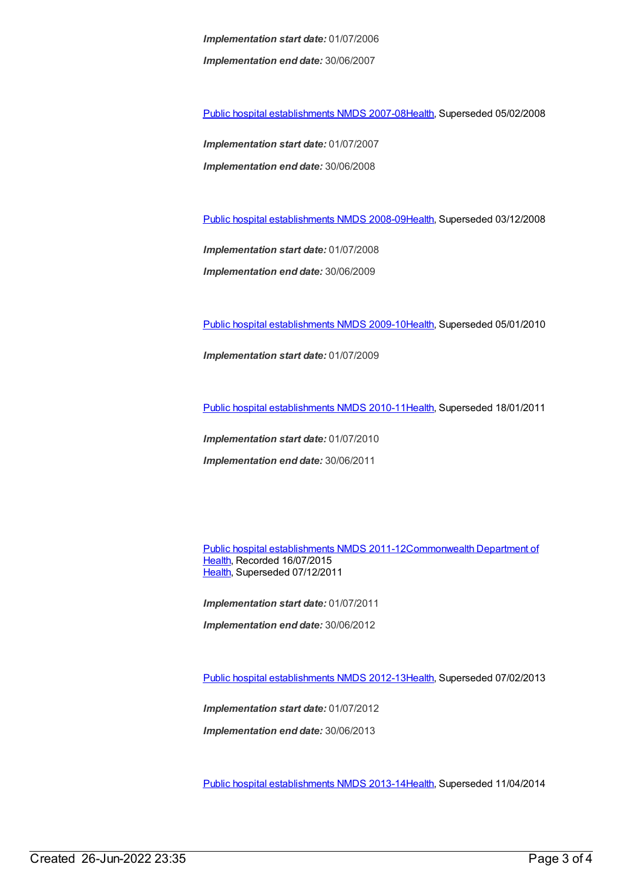*Implementation start date:* 01/07/2006 *Implementation end date:* 30/06/2007

Public hospital [establishments](https://meteor.aihw.gov.au/content/345139) NMDS 2007-08[Health](https://meteor.aihw.gov.au/RegistrationAuthority/12), Superseded 05/02/2008

*Implementation start date:* 01/07/2007 *Implementation end date:* 30/06/2008

Public hospital [establishments](https://meteor.aihw.gov.au/content/362302) NMDS 2008-09[Health](https://meteor.aihw.gov.au/RegistrationAuthority/12), Superseded 03/12/2008

*Implementation start date:* 01/07/2008 *Implementation end date:* 30/06/2009

Public hospital [establishments](https://meteor.aihw.gov.au/content/374924) NMDS 2009-10[Health](https://meteor.aihw.gov.au/RegistrationAuthority/12), Superseded 05/01/2010

*Implementation start date:* 01/07/2009

Public hospital [establishments](https://meteor.aihw.gov.au/content/386794) NMDS 2010-11[Health](https://meteor.aihw.gov.au/RegistrationAuthority/12), Superseded 18/01/2011

*Implementation start date:* 01/07/2010 *Implementation end date:* 30/06/2011

Public hospital [establishments](https://meteor.aihw.gov.au/content/426900) NMDS [2011-12Commonwealth](https://meteor.aihw.gov.au/RegistrationAuthority/10) Department of Health, Recorded 16/07/2015 [Health](https://meteor.aihw.gov.au/RegistrationAuthority/12), Superseded 07/12/2011

*Implementation start date:* 01/07/2011

*Implementation end date:* 30/06/2012

Public hospital [establishments](https://meteor.aihw.gov.au/content/470656) NMDS 2012-13[Health](https://meteor.aihw.gov.au/RegistrationAuthority/12), Superseded 07/02/2013

*Implementation start date:* 01/07/2012

*Implementation end date:* 30/06/2013

Public hospital [establishments](https://meteor.aihw.gov.au/content/504279) NMDS 2013-14[Health](https://meteor.aihw.gov.au/RegistrationAuthority/12), Superseded 11/04/2014